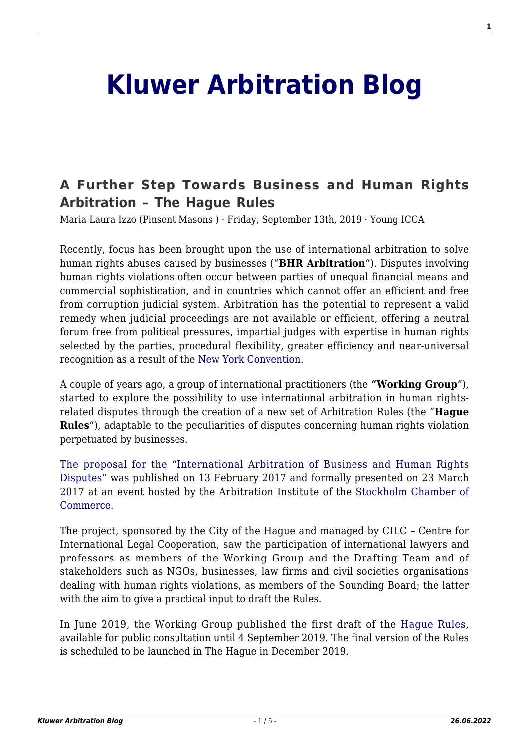# **[Kluwer Arbitration Blog](http://arbitrationblog.kluwerarbitration.com/)**

# **[A Further Step Towards Business and Human Rights](http://arbitrationblog.kluwerarbitration.com/2019/09/13/a-further-step-towards-business-and-human-rights-arbitration-the-hague-rules/) [Arbitration – The Hague Rules](http://arbitrationblog.kluwerarbitration.com/2019/09/13/a-further-step-towards-business-and-human-rights-arbitration-the-hague-rules/)**

Maria Laura Izzo (Pinsent Masons ) · Friday, September 13th, 2019 · Young ICCA

Recently, focus has been brought upon the use of international arbitration to solve human rights abuses caused by businesses ("**BHR Arbitration**"). Disputes involving human rights violations often occur between parties of unequal financial means and commercial sophistication, and in countries which cannot offer an efficient and free from corruption judicial system. Arbitration has the potential to represent a valid remedy when judicial proceedings are not available or efficient, offering a neutral forum free from political pressures, impartial judges with expertise in human rights selected by the parties, procedural flexibility, greater efficiency and near-universal recognition as a result of the [New York Convention](https://www.uncitral.org/pdf/english/texts/arbitration/NY-conv/New-York-Convention-E.pdf).

A couple of years ago, a group of international practitioners (the **"Working Group**"), started to explore the possibility to use international arbitration in human rightsrelated disputes through the creation of a new set of Arbitration Rules (the "**Hague Rules**"), adaptable to the peculiarities of disputes concerning human rights violation perpetuated by businesses.

[The proposal for the "International Arbitration of Business and Human Rights](http://www.l4bb.org/news/TribunalV6.pdf) [Disputes"](http://www.l4bb.org/news/TribunalV6.pdf) was published on 13 February 2017 and formally presented on 23 March 2017 at an event hosted by the Arbitration Institute of the [Stockholm Chamber of](https://uk.practicallaw.thomsonreuters.com/3-523-6459) [Commerce.](https://uk.practicallaw.thomsonreuters.com/3-523-6459)

The project, sponsored by the City of the Hague and managed by CILC – Centre for International Legal Cooperation, saw the participation of international lawyers and professors as members of the Working Group and the Drafting Team and of stakeholders such as NGOs, businesses, law firms and civil societies organisations dealing with human rights violations, as members of the Sounding Board; the latter with the aim to give a practical input to draft the Rules.

In June 2019, the Working Group published the first draft of the [Hague Rules](https://www.cilc.nl/cms/wp-content/uploads/2019/06/Draft-BHR-Rules-Final-version-for-Public-consultation.pdf), available for public consultation until 4 September 2019. The final version of the Rules is scheduled to be launched in The Hague in December 2019.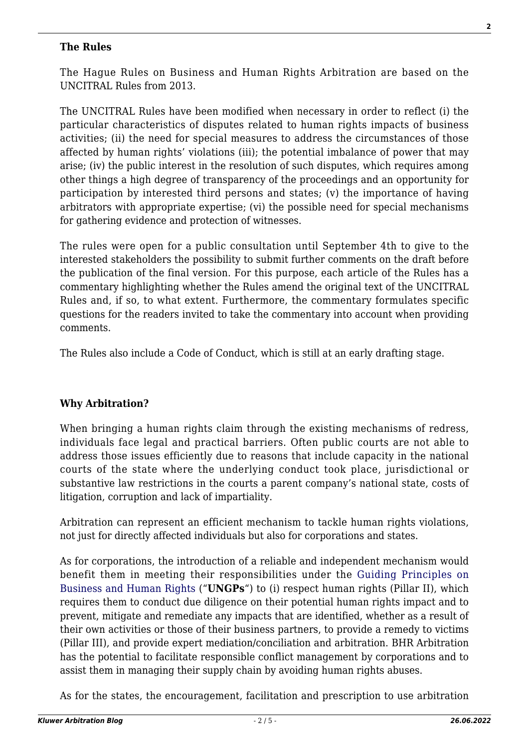#### **The Rules**

The Hague Rules on Business and Human Rights Arbitration are based on the UNCITRAL Rules from 2013.

The UNCITRAL Rules have been modified when necessary in order to reflect (i) the particular characteristics of disputes related to human rights impacts of business activities; (ii) the need for special measures to address the circumstances of those affected by human rights' violations (iii); the potential imbalance of power that may arise; (iv) the public interest in the resolution of such disputes, which requires among other things a high degree of transparency of the proceedings and an opportunity for participation by interested third persons and states; (v) the importance of having arbitrators with appropriate expertise; (vi) the possible need for special mechanisms for gathering evidence and protection of witnesses.

The rules were open for a public consultation until September 4th to give to the interested stakeholders the possibility to submit further comments on the draft before the publication of the final version. For this purpose, each article of the Rules has a commentary highlighting whether the Rules amend the original text of the UNCITRAL Rules and, if so, to what extent. Furthermore, the commentary formulates specific questions for the readers invited to take the commentary into account when providing comments.

The Rules also include a Code of Conduct, which is still at an early drafting stage.

#### **Why Arbitration?**

When bringing a human rights claim through the existing mechanisms of redress, individuals face legal and practical barriers. Often public courts are not able to address those issues efficiently due to reasons that include capacity in the national courts of the state where the underlying conduct took place, jurisdictional or substantive law restrictions in the courts a parent company's national state, costs of litigation, corruption and lack of impartiality.

Arbitration can represent an efficient mechanism to tackle human rights violations, not just for directly affected individuals but also for corporations and states.

As for corporations, the introduction of a reliable and independent mechanism would benefit them in meeting their responsibilities under the [Guiding Principles on](https://www.ohchr.org/documents/publications/GuidingprinciplesBusinesshr_eN.pdf) [Business and Human Rights](https://www.ohchr.org/documents/publications/GuidingprinciplesBusinesshr_eN.pdf) ("**UNGPs**") to (i) respect human rights (Pillar II), which requires them to conduct due diligence on their potential human rights impact and to prevent, mitigate and remediate any impacts that are identified, whether as a result of their own activities or those of their business partners, to provide a remedy to victims (Pillar III), and provide expert mediation/conciliation and arbitration. BHR Arbitration has the potential to facilitate responsible conflict management by corporations and to assist them in managing their supply chain by avoiding human rights abuses.

As for the states, the encouragement, facilitation and prescription to use arbitration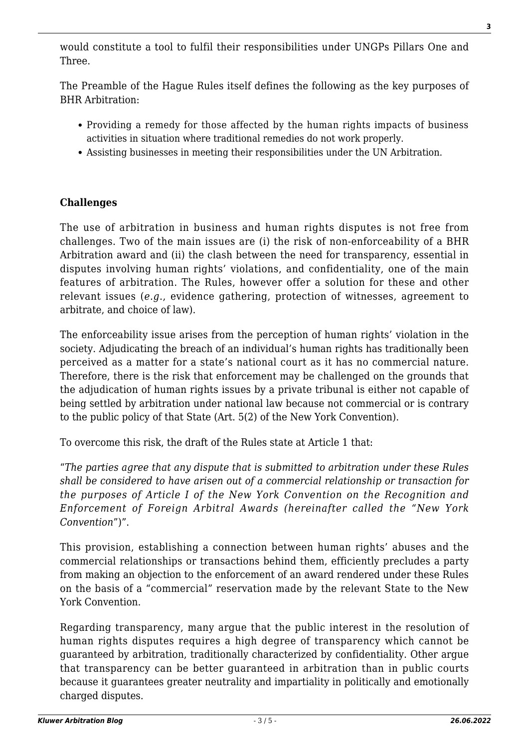would constitute a tool to fulfil their responsibilities under UNGPs Pillars One and Three.

The Preamble of the Hague Rules itself defines the following as the key purposes of BHR Arbitration:

- Providing a remedy for those affected by the human rights impacts of business activities in situation where traditional remedies do not work properly.
- Assisting businesses in meeting their responsibilities under the UN Arbitration.

## **Challenges**

The use of arbitration in business and human rights disputes is not free from challenges. Two of the main issues are (i) the risk of non-enforceability of a BHR Arbitration award and (ii) the clash between the need for transparency, essential in disputes involving human rights' violations, and confidentiality, one of the main features of arbitration. The Rules, however offer a solution for these and other relevant issues (*e.g*., evidence gathering, protection of witnesses, agreement to arbitrate, and choice of law).

The enforceability issue arises from the perception of human rights' violation in the society. Adjudicating the breach of an individual's human rights has traditionally been perceived as a matter for a state's national court as it has no commercial nature. Therefore, there is the risk that enforcement may be challenged on the grounds that the adjudication of human rights issues by a private tribunal is either not capable of being settled by arbitration under national law because not commercial or is contrary to the public policy of that State (Art. 5(2) of the New York Convention).

To overcome this risk, the draft of the Rules state at Article 1 that:

"*The parties agree that any dispute that is submitted to arbitration under these Rules shall be considered to have arisen out of a commercial relationship or transaction for the purposes of Article I of the New York Convention on the Recognition and Enforcement of Foreign Arbitral Awards (hereinafter called the "New York Convention*")".

This provision, establishing a connection between human rights' abuses and the commercial relationships or transactions behind them, efficiently precludes a party from making an objection to the enforcement of an award rendered under these Rules on the basis of a "commercial" reservation made by the relevant State to the New York Convention.

Regarding transparency, many argue that the public interest in the resolution of human rights disputes requires a high degree of transparency which cannot be guaranteed by arbitration, traditionally characterized by confidentiality. Other argue that transparency can be better guaranteed in arbitration than in public courts because it guarantees greater neutrality and impartiality in politically and emotionally charged disputes.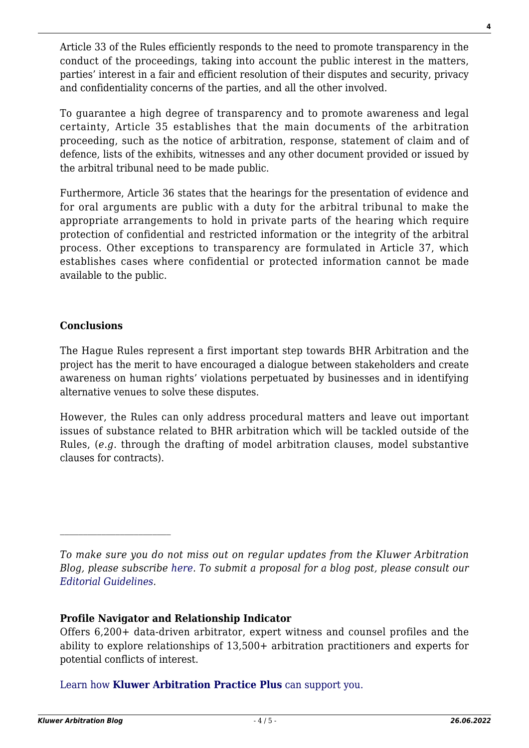Article 33 of the Rules efficiently responds to the need to promote transparency in the conduct of the proceedings, taking into account the public interest in the matters, parties' interest in a fair and efficient resolution of their disputes and security, privacy and confidentiality concerns of the parties, and all the other involved.

To guarantee a high degree of transparency and to promote awareness and legal certainty, Article 35 establishes that the main documents of the arbitration proceeding, such as the notice of arbitration, response, statement of claim and of defence, lists of the exhibits, witnesses and any other document provided or issued by the arbitral tribunal need to be made public.

Furthermore, Article 36 states that the hearings for the presentation of evidence and for oral arguments are public with a duty for the arbitral tribunal to make the appropriate arrangements to hold in private parts of the hearing which require protection of confidential and restricted information or the integrity of the arbitral process. Other exceptions to transparency are formulated in Article 37, which establishes cases where confidential or protected information cannot be made available to the public.

### **Conclusions**

The Hague Rules represent a first important step towards BHR Arbitration and the project has the merit to have encouraged a dialogue between stakeholders and create awareness on human rights' violations perpetuated by businesses and in identifying alternative venues to solve these disputes.

However, the Rules can only address procedural matters and leave out important issues of substance related to BHR arbitration which will be tackled outside of the Rules, (*e.g*. through the drafting of model arbitration clauses, model substantive clauses for contracts).

#### **Profile Navigator and Relationship Indicator**

[Learn how](https://www.wolterskluwer.com/en/solutions/kluwerarbitration/practiceplus?utm_source=arbitrationblog&utm_medium=articleCTA&utm_campaign=article-banner) **[Kluwer Arbitration Practice Plus](https://www.wolterskluwer.com/en/solutions/kluwerarbitration/practiceplus?utm_source=arbitrationblog&utm_medium=articleCTA&utm_campaign=article-banner)** [can support you.](https://www.wolterskluwer.com/en/solutions/kluwerarbitration/practiceplus?utm_source=arbitrationblog&utm_medium=articleCTA&utm_campaign=article-banner)

*To make sure you do not miss out on regular updates from the Kluwer Arbitration Blog, please subscribe [here](http://arbitrationblog.kluwerarbitration.com/newsletter/). To submit a proposal for a blog post, please consult our [Editorial Guidelines.](http://arbitrationblog.kluwerarbitration.com/editorial-guidelines/)*

Offers 6,200+ data-driven arbitrator, expert witness and counsel profiles and the ability to explore relationships of 13,500+ arbitration practitioners and experts for potential conflicts of interest.